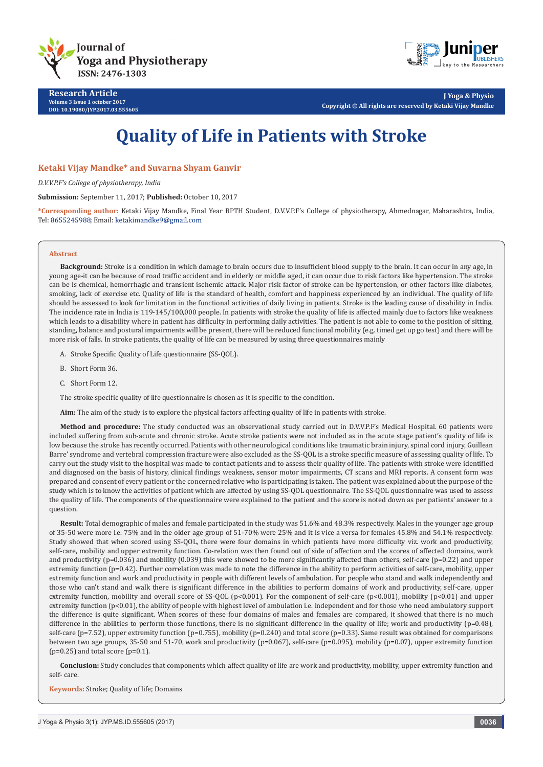

**Research Article Volume 3 Issue 1 october 2017 DOI: [10.19080/JYP.2017.03.555605](http://dx.doi.org/10.19080/JYP.2017.02.555605)**

**J Yoga & Physio Copyright © All rights are reserved by Ketaki Vijay Mandke**

# **Quality of Life in Patients with Stroke**

### **Ketaki Vijay Mandke\* and Suvarna Shyam Ganvir**

*D.V.V.P.F's College of physiotherapy, India*

**Submission:** September 11, 2017; **Published:** October 10, 2017

**\*Corresponding author:** Ketaki Vijay Mandke, Final Year BPTH Student, D.V.V.P.F's College of physiotherapy, Ahmednagar, Maharashtra, India, Tel: 8655245988; Email: ketakimandke9@gmail.com

#### **Abstract**

**Background:** Stroke is a condition in which damage to brain occurs due to insufficient blood supply to the brain. It can occur in any age, in young age-it can be because of road traffic accident and in elderly or middle aged, it can occur due to risk factors like hypertension. The stroke can be is chemical, hemorrhagic and transient ischemic attack. Major risk factor of stroke can be hypertension, or other factors like diabetes, smoking, lack of exercise etc. Quality of life is the standard of health, comfort and happiness experienced by an individual. The quality of life should be assessed to look for limitation in the functional activities of daily living in patients. Stroke is the leading cause of disability in India. The incidence rate in India is 119-145/100,000 people. In patients with stroke the quality of life is affected mainly due to factors like weakness which leads to a disability where in patient has difficulty in performing daily activities. The patient is not able to come to the position of sitting, standing, balance and postural impairments will be present, there will be reduced functional mobility (e.g. timed get up go test) and there will be more risk of falls. In stroke patients, the quality of life can be measured by using three questionnaires mainly

A. Stroke Specific Quality of Life questionnaire (SS-QOL).

- B. Short Form 36.
- C. Short Form 12.

The stroke specific quality of life questionnaire is chosen as it is specific to the condition.

**Aim:** The aim of the study is to explore the physical factors affecting quality of life in patients with stroke.

**Method and procedure:** The study conducted was an observational study carried out in D.V.V.P.F's Medical Hospital. 60 patients were included suffering from sub-acute and chronic stroke. Acute stroke patients were not included as in the acute stage patient's quality of life is low because the stroke has recently occurred. Patients with other neurological conditions like traumatic brain injury, spinal cord injury, Guillean Barre' syndrome and vertebral compression fracture were also excluded as the SS-QOL is a stroke specific measure of assessing quality of life. To carry out the study visit to the hospital was made to contact patients and to assess their quality of life. The patients with stroke were identified and diagnosed on the basis of history, clinical findings weakness, sensor motor impairments, CT scans and MRI reports. A consent form was prepared and consent of every patient or the concerned relative who is participating is taken. The patient was explained about the purpose of the study which is to know the activities of patient which are affected by using SS-QOL questionnaire. The SS-QOL questionnaire was used to assess the quality of life. The components of the questionnaire were explained to the patient and the score is noted down as per patients' answer to a question.

**Result:** Total demographic of males and female participated in the study was 51.6% and 48.3% respectively. Males in the younger age group of 35-50 were more i.e. 75% and in the older age group of 51-70% were 25% and it is vice a versa for females 45.8% and 54.1% respectively. Study showed that when scored using SS-QOL, there were four domains in which patients have more difficulty viz. work and productivity, self-care, mobility and upper extremity function. Co-relation was then found out of side of affection and the scores of affected domains, work and productivity ( $p=0.036$ ) and mobility (0.039) this were showed to be more significantly affected than others, self-care ( $p=0.22$ ) and upper extremity function (p=0.42). Further correlation was made to note the difference in the ability to perform activities of self-care, mobility, upper extremity function and work and productivity in people with different levels of ambulation. For people who stand and walk independently and those who can't stand and walk there is significant difference in the abilities to perform domains of work and productivity, self-care, upper extremity function, mobility and overall score of SS-QOL (p<0.001). For the component of self-care (p<0.001), mobility (p<0.01) and upper extremity function (p<0.01), the ability of people with highest level of ambulation i.e. independent and for those who need ambulatory support the difference is quite significant. When scores of these four domains of males and females are compared, it showed that there is no much difference in the abilities to perform those functions, there is no significant difference in the quality of life; work and productivity (p=0.48), self-care (p=7.52), upper extremity function (p=0.755), mobility (p=0.240) and total score (p=0.33). Same result was obtained for comparisons between two age groups, 35-50 and 51-70, work and productivity (p=0.067), self-care (p=0.095), mobility (p=0.07), upper extremity function  $(p=0.25)$  and total score  $(p=0.1)$ .

**Conclusion:** Study concludes that components which affect quality of life are work and productivity, mobility, upper extremity function and self- care.

**Keywords:** Stroke; Quality of life; Domains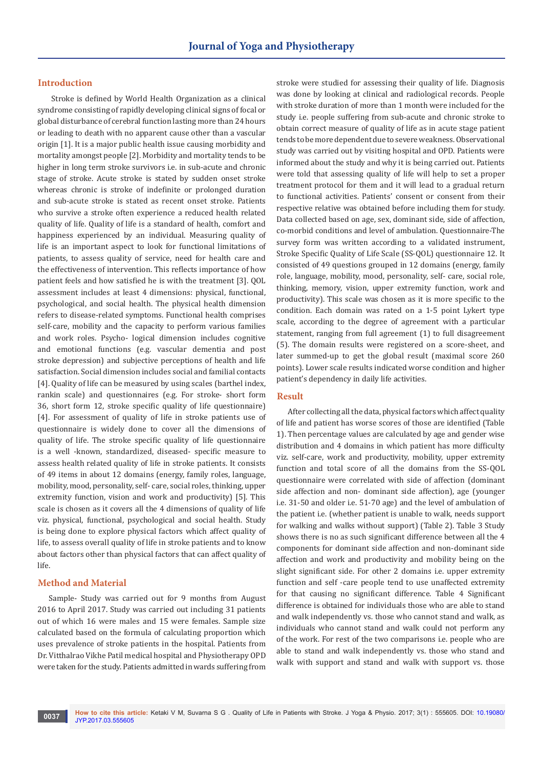### **Introduction**

Stroke is defined by World Health Organization as a clinical syndrome consisting of rapidly developing clinical signs of focal or global disturbance of cerebral function lasting more than 24 hours or leading to death with no apparent cause other than a vascular origin [1]. It is a major public health issue causing morbidity and mortality amongst people [2]. Morbidity and mortality tends to be higher in long term stroke survivors i.e. in sub-acute and chronic stage of stroke. Acute stroke is stated by sudden onset stroke whereas chronic is stroke of indefinite or prolonged duration and sub-acute stroke is stated as recent onset stroke. Patients who survive a stroke often experience a reduced health related quality of life. Quality of life is a standard of health, comfort and happiness experienced by an individual. Measuring quality of life is an important aspect to look for functional limitations of patients, to assess quality of service, need for health care and the effectiveness of intervention. This reflects importance of how patient feels and how satisfied he is with the treatment [3]. QOL assessment includes at least 4 dimensions: physical, functional, psychological, and social health. The physical health dimension refers to disease-related symptoms. Functional health comprises self-care, mobility and the capacity to perform various families and work roles. Psycho- logical dimension includes cognitive and emotional functions (e.g. vascular dementia and post stroke depression) and subjective perceptions of health and life satisfaction. Social dimension includes social and familial contacts [4]. Quality of life can be measured by using scales (barthel index, rankin scale) and questionnaires (e.g. For stroke- short form 36, short form 12, stroke specific quality of life questionnaire) [4]. For assessment of quality of life in stroke patients use of questionnaire is widely done to cover all the dimensions of quality of life. The stroke specific quality of life questionnaire is a well -known, standardized, diseased- specific measure to assess health related quality of life in stroke patients. It consists of 49 items in about 12 domains (energy, family roles, language, mobility, mood, personality, self- care, social roles, thinking, upper extremity function, vision and work and productivity) [5]. This scale is chosen as it covers all the 4 dimensions of quality of life viz. physical, functional, psychological and social health. Study is being done to explore physical factors which affect quality of life, to assess overall quality of life in stroke patients and to know about factors other than physical factors that can affect quality of life.

# **Method and Material**

Sample- Study was carried out for 9 months from August 2016 to April 2017. Study was carried out including 31 patients out of which 16 were males and 15 were females. Sample size calculated based on the formula of calculating proportion which uses prevalence of stroke patients in the hospital. Patients from Dr. Vitthalrao Vikhe Patil medical hospital and Physiotherapy OPD were taken for the study. Patients admitted in wards suffering from

stroke were studied for assessing their quality of life. Diagnosis was done by looking at clinical and radiological records. People with stroke duration of more than 1 month were included for the study i.e. people suffering from sub-acute and chronic stroke to obtain correct measure of quality of life as in acute stage patient tends to be more dependent due to severe weakness. Observational study was carried out by visiting hospital and OPD. Patients were informed about the study and why it is being carried out. Patients were told that assessing quality of life will help to set a proper treatment protocol for them and it will lead to a gradual return to functional activities. Patients' consent or consent from their respective relative was obtained before including them for study. Data collected based on age, sex, dominant side, side of affection, co-morbid conditions and level of ambulation. Questionnaire-The survey form was written according to a validated instrument, Stroke Specific Quality of Life Scale (SS-QOL) questionnaire 12. It consisted of 49 questions grouped in 12 domains (energy, family role, language, mobility, mood, personality, self- care, social role, thinking, memory, vision, upper extremity function, work and productivity). This scale was chosen as it is more specific to the condition. Each domain was rated on a 1-5 point Lykert type scale, according to the degree of agreement with a particular statement, ranging from full agreement (1) to full disagreement (5). The domain results were registered on a score-sheet, and later summed-up to get the global result (maximal score 260 points). Lower scale results indicated worse condition and higher patient's dependency in daily life activities.

### **Result**

After collecting all the data, physical factors which affect quality of life and patient has worse scores of those are identified (Table 1). Then percentage values are calculated by age and gender wise distribution and 4 domains in which patient has more difficulty viz. self-care, work and productivity, mobility, upper extremity function and total score of all the domains from the SS-QOL questionnaire were correlated with side of affection (dominant side affection and non- dominant side affection), age (younger i.e. 31-50 and older i.e. 51-70 age) and the level of ambulation of the patient i.e. (whether patient is unable to walk, needs support for walking and walks without support) (Table 2). Table 3 Study shows there is no as such significant difference between all the 4 components for dominant side affection and non-dominant side affection and work and productivity and mobility being on the slight significant side. For other 2 domains i.e. upper extremity function and self -care people tend to use unaffected extremity for that causing no significant difference. Table 4 Significant difference is obtained for individuals those who are able to stand and walk independently vs. those who cannot stand and walk, as individuals who cannot stand and walk could not perform any of the work. For rest of the two comparisons i.e. people who are able to stand and walk independently vs. those who stand and walk with support and stand and walk with support vs. those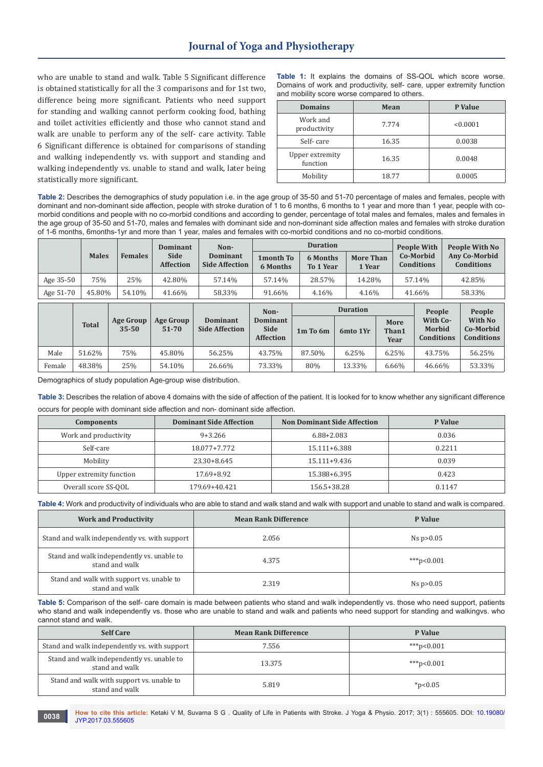# **Journal of Yoga and Physiotherapy**

who are unable to stand and walk. Table 5 Significant difference is obtained statistically for all the 3 comparisons and for 1st two, difference being more significant. Patients who need support for standing and walking cannot perform cooking food, bathing and toilet activities efficiently and those who cannot stand and walk are unable to perform any of the self- care activity. Table 6 Significant difference is obtained for comparisons of standing and walking independently vs. with support and standing and walking independently vs. unable to stand and walk, later being statistically more significant.

**Table 1:** It explains the domains of SS-QOL which score worse. Domains of work and productivity, self- care, upper extremity function and mobility score worse compared to others.

| <b>Domains</b>              | Mean  | P Value  |
|-----------------------------|-------|----------|
| Work and<br>productivity    | 7.774 | < 0.0001 |
| Self-care                   | 16.35 | 0.0038   |
| Upper extremity<br>function | 16.35 | 0.0048   |
| Mobility                    | 18.77 | 0.0005   |

**Table 2:** Describes the demographics of study population i.e. in the age group of 35-50 and 51-70 percentage of males and females, people with dominant and non-dominant side affection, people with stroke duration of 1 to 6 months, 6 months to 1 year and more than 1 year, people with comorbid conditions and people with no co-morbid conditions and according to gender, percentage of total males and females, males and females in the age group of 35-50 and 51-70, males and females with dominant side and non-dominant side affection males and females with stroke duration of 1-6 months, 6months-1yr and more than 1 year, males and females with co-morbid conditions and no co-morbid conditions.

|           |              |                               | <b>Dominant</b>                 | Non-                                     |                                                     | <b>Duration</b>              |                             |                       | <b>People With</b>                                | People With No                                             |
|-----------|--------------|-------------------------------|---------------------------------|------------------------------------------|-----------------------------------------------------|------------------------------|-----------------------------|-----------------------|---------------------------------------------------|------------------------------------------------------------|
|           | <b>Males</b> | <b>Females</b>                | <b>Side</b><br><b>Affection</b> | <b>Dominant</b><br><b>Side Affection</b> | 1 month To<br>6 Months                              | 6 Months<br><b>To 1 Year</b> | <b>More Than</b><br>1 Year  |                       | Co-Morbid<br><b>Conditions</b>                    | <b>Any Co-Morbid</b><br><b>Conditions</b>                  |
| Age 35-50 | 75%          | 25%                           | 42.80%                          | 57.14%                                   | 57.14%                                              | 28.57%                       | 14.28%                      |                       | 57.14%                                            | 42.85%                                                     |
| Age 51-70 | 45.80%       | 54.10%                        | 41.66%                          | 58.33%                                   | 91.66%                                              | 4.16%                        | 4.16%                       |                       | 41.66%                                            | 58.33%                                                     |
|           | <b>Total</b> | <b>Age Group</b><br>$35 - 50$ | Age Group<br>51-70              | <b>Dominant</b><br><b>Side Affection</b> | Non-<br>Dominant<br><b>Side</b><br><b>Affection</b> | 1m To 6m                     | <b>Duration</b><br>6mto 1Yr | More<br>Than1<br>Year | People<br>With Co-<br>Morbid<br><b>Conditions</b> | People<br><b>With No</b><br>Co-Morbid<br><b>Conditions</b> |
| Male      | 51.62%       | 75%                           | 45.80%                          | 56.25%                                   | 43.75%                                              | 87.50%                       | 6.25%                       | 6.25%                 | 43.75%                                            | 56.25%                                                     |
| Female    | 48.38%       | 25%                           | 54.10%                          | 26.66%                                   | 73.33%                                              | 80%                          | 13.33%                      | 6.66%                 | 46.66%                                            | 53.33%                                                     |

Demographics of study population Age-group wise distribution.

**Table 3:** Describes the relation of above 4 domains with the side of affection of the patient. It is looked for to know whether any significant difference occurs for people with dominant side affection and non- dominant side affection.

| Components               | <b>Dominant Side Affection</b> | <b>Non Dominant Side Affection</b> | P Value |
|--------------------------|--------------------------------|------------------------------------|---------|
| Work and productivity    | $9 + 3.266$                    | $6.88 + 2.083$                     | 0.036   |
| Self-care                | 18.077+7.772                   | 15.111+6.388                       | 0.2211  |
| Mobility                 | 23.30+8.645                    | 15.111+9.436                       | 0.039   |
| Upper extremity function | 17.69+8.92                     | 15.388+6.395                       | 0.423   |
| Overall score SS-QOL     | 179.69+40.421                  | 156.5+38.28                        | 0.1147  |

**Table 4:** Work and productivity of individuals who are able to stand and walk stand and walk with support and unable to stand and walk is compared.

| <b>Work and Productivity</b>                                 | <b>Mean Rank Difference</b> | P Value         |
|--------------------------------------------------------------|-----------------------------|-----------------|
| Stand and walk independently vs. with support                | 2.056                       | Ns $p>0.05$     |
| Stand and walk independently vs. unable to<br>stand and walk | 4.375                       | ***p<0.001      |
| Stand and walk with support vs. unable to<br>stand and walk  | 2.319                       | $Ns$ p $> 0.05$ |

**Table 5:** Comparison of the self- care domain is made between patients who stand and walk independently vs. those who need support, patients who stand and walk independently vs. those who are unable to stand and walk and patients who need support for standing and walkingvs. who cannot stand and walk.

| <b>Self Care</b>                                             | <b>Mean Rank Difference</b> | P Value      |
|--------------------------------------------------------------|-----------------------------|--------------|
| Stand and walk independently vs. with support                | 7.556                       | ***p<0.001   |
| Stand and walk independently vs. unable to<br>stand and walk | 13.375                      | ***p<0.001   |
| Stand and walk with support vs. unable to<br>stand and walk  | 5.819                       | $*_{p<0.05}$ |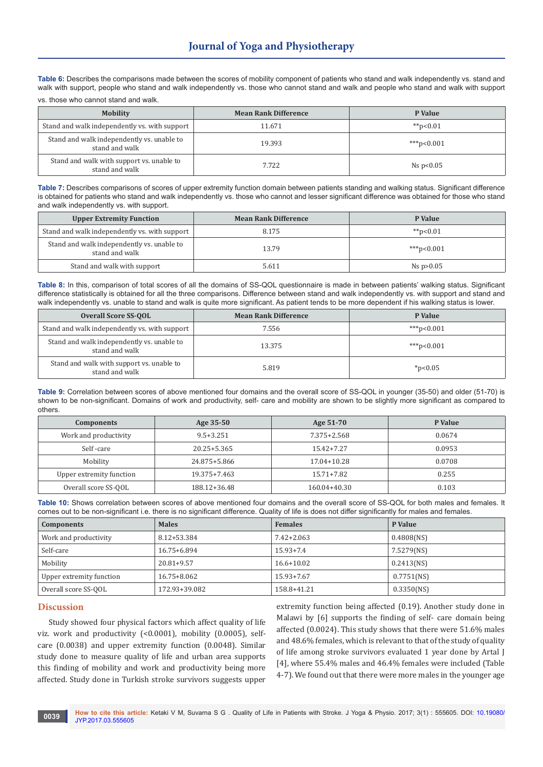Table 6: Describes the comparisons made between the scores of mobility component of patients who stand and walk independently vs. stand and walk with support, people who stand and walk independently vs. those who cannot stand and walk and people who stand and walk with support

vs. those who cannot stand and walk.

| <b>Mobility</b>                                              | <b>Mean Rank Difference</b> | P Value     |
|--------------------------------------------------------------|-----------------------------|-------------|
| Stand and walk independently vs. with support                | 11.671                      | ** $p<0.01$ |
| Stand and walk independently vs. unable to<br>stand and walk | 19.393                      | ***p<0.001  |
| Stand and walk with support vs. unable to<br>stand and walk  | 7.722                       | Ns $p<0.05$ |

**Table 7:** Describes comparisons of scores of upper extremity function domain between patients standing and walking status. Significant difference is obtained for patients who stand and walk independently vs. those who cannot and lesser significant difference was obtained for those who stand and walk independently vs. with support.

| <b>Upper Extremity Function</b>                              | <b>Mean Rank Difference</b> | P Value        |
|--------------------------------------------------------------|-----------------------------|----------------|
| Stand and walk independently vs. with support                | 8.175                       | ** $p<0.01$    |
| Stand and walk independently vs. unable to<br>stand and walk | 13.79                       | ***p<0.001     |
| Stand and walk with support                                  | 5.611                       | $Ns$ p $>0.05$ |

**Table 8:** In this, comparison of total scores of all the domains of SS-QOL questionnaire is made in between patients' walking status. Significant difference statistically is obtained for all the three comparisons. Difference between stand and walk independently vs. with support and stand and walk independently vs. unable to stand and walk is quite more significant. As patient tends to be more dependent if his walking status is lower.

| <b>Overall Score SS-OOL</b>                                  | <b>Mean Rank Difference</b> | P Value      |
|--------------------------------------------------------------|-----------------------------|--------------|
| Stand and walk independently vs. with support                | 7.556                       | $***p<0.001$ |
| Stand and walk independently vs. unable to<br>stand and walk | 13.375                      | ***p<0.001   |
| Stand and walk with support vs. unable to<br>stand and walk  | 5.819                       | $*_{p<0.05}$ |

**Table 9:** Correlation between scores of above mentioned four domains and the overall score of SS-QOL in younger (35-50) and older (51-70) is shown to be non-significant. Domains of work and productivity, self- care and mobility are shown to be slightly more significant as compared to others.

| <b>Components</b>        | Age 35-50       | Age 51-70      | P Value |
|--------------------------|-----------------|----------------|---------|
| Work and productivity    | $9.5 + 3.251$   | 7.375+2.568    | 0.0674  |
| Self-care                | $20.25 + 5.365$ | $15.42 + 7.27$ | 0.0953  |
| Mobility                 | 24.875+5.866    | 17.04+10.28    | 0.0708  |
| Upper extremity function | 19.375+7.463    | 15.71+7.82     | 0.255   |
| Overall score SS-OOL     | 188.12+36.48    | 160.04+40.30   | 0.103   |

| Table 10: Shows correlation between scores of above mentioned four domains and the overall score of SS-QOL for both males and females. It        |  |
|--------------------------------------------------------------------------------------------------------------------------------------------------|--|
| comes out to be non-significant i.e. there is no significant difference. Quality of life is does not differ significantly for males and females. |  |

| Components               | <b>Males</b>   | <b>Females</b> | P Value       |
|--------------------------|----------------|----------------|---------------|
| Work and productivity    | 8.12+53.384    | $7.42 + 2.063$ | $0.4808$ (NS) |
| Self-care                | 16.75+6.894    | $15.93 + 7.4$  | 7.5279(NS)    |
| Mobility                 | $20.81 + 9.57$ | $16.6 + 10.02$ | $0.2413$ (NS) |
| Upper extremity function | 16.75+8.062    | $15.93 + 7.67$ | $0.7751$ (NS) |
| Overall score SS-OOL     | 172.93+39.082  | 158.8+41.21    | $0.3350$ (NS) |

### **Discussion**

Study showed four physical factors which affect quality of life viz. work and productivity (<0.0001), mobility (0.0005), selfcare (0.0038) and upper extremity function (0.0048). Similar study done to measure quality of life and urban area supports this finding of mobility and work and productivity being more affected. Study done in Turkish stroke survivors suggests upper extremity function being affected (0.19). Another study done in Malawi by [6] supports the finding of self- care domain being affected (0.0024). This study shows that there were 51.6% males and 48.6% females, which is relevant to that of the study of quality of life among stroke survivors evaluated 1 year done by Artal J [4], where 55.4% males and 46.4% females were included (Table 4-7). We found out that there were more males in the younger age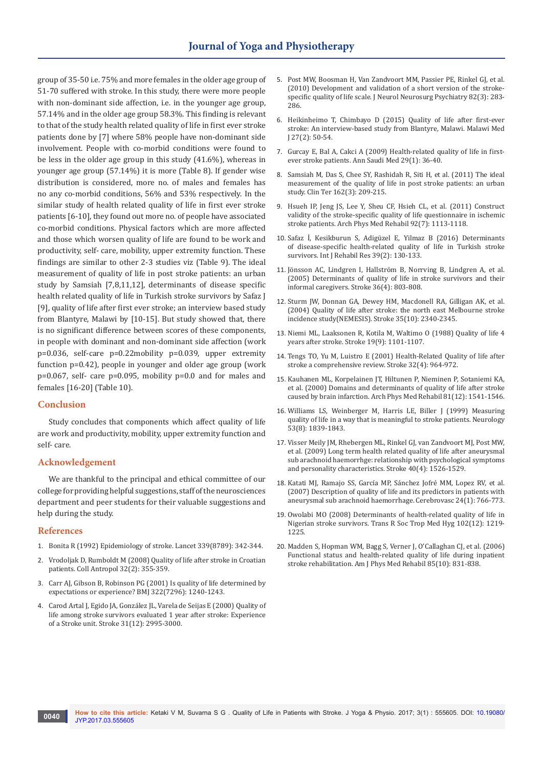group of 35-50 i.e. 75% and more females in the older age group of 51-70 suffered with stroke. In this study, there were more people with non-dominant side affection, i.e. in the younger age group, 57.14% and in the older age group 58.3%. This finding is relevant to that of the study health related quality of life in first ever stroke patients done by [7] where 58% people have non-dominant side involvement. People with co-morbid conditions were found to be less in the older age group in this study (41.6%), whereas in younger age group (57.14%) it is more (Table 8). If gender wise distribution is considered, more no. of males and females has no any co-morbid conditions, 56% and 53% respectively. In the similar study of health related quality of life in first ever stroke patients [6-10], they found out more no. of people have associated co-morbid conditions. Physical factors which are more affected and those which worsen quality of life are found to be work and productivity, self- care, mobility, upper extremity function. These findings are similar to other 2-3 studies viz (Table 9). The ideal measurement of quality of life in post stroke patients: an urban study by Samsiah [7,8,11,12], determinants of disease specific health related quality of life in Turkish stroke survivors by Safaz J [9], quality of life after first ever stroke; an interview based study from Blantyre, Malawi by [10-15]. But study showed that, there is no significant difference between scores of these components, in people with dominant and non-dominant side affection (work p=0.036, self-care p=0.22mobility p=0.039, upper extremity function p=0.42), people in younger and older age group (work p=0.067, self- care p=0.095, mobility p=0.0 and for males and females [16-20] (Table 10).

### **Conclusion**

Study concludes that components which affect quality of life are work and productivity, mobility, upper extremity function and self- care.

### **Acknowledgement**

We are thankful to the principal and ethical committee of our college for providing helpful suggestions, staff of the neurosciences department and peer students for their valuable suggestions and help during the study.

### **References**

- 1. [Bonita R \(1992\) Epidemiology of stroke. Lancet 339\(8789\): 342-344.](https://www.ncbi.nlm.nih.gov/pubmed/1346420)
- 2. [Vrodoljak D, Rumboldt M \(2008\) Quality of life after stroke in Croatian](https://www.ncbi.nlm.nih.gov/pubmed/18756881)  [patients. Coll Antropol 32\(2\): 355-359.](https://www.ncbi.nlm.nih.gov/pubmed/18756881)
- 3. [Carr AJ, Gibson B, Robinson PG \(2001\) Is quality of life determined by](https://www.ncbi.nlm.nih.gov/pubmed/11358783/)  [expectations or experience? BMJ 322\(7296\): 1240-1243.](https://www.ncbi.nlm.nih.gov/pubmed/11358783/)
- 4. [Carod Artal J, Egido JA, González JL, Varela de Seijas E \(2000\) Quality of](https://www.ncbi.nlm.nih.gov/pubmed/11108762)  [life among stroke survivors evaluated 1 year after stroke: Experience](https://www.ncbi.nlm.nih.gov/pubmed/11108762)  [of a Stroke unit. Stroke 31\(12\): 2995-3000.](https://www.ncbi.nlm.nih.gov/pubmed/11108762)
- 5. [Post MW, Boosman H, Van Zandvoort MM, Passier PE, Rinkel GJ, et al.](https://www.ncbi.nlm.nih.gov/pubmed/20802211)  [\(2010\) Development and validation of a short version of the stroke](https://www.ncbi.nlm.nih.gov/pubmed/20802211)[specific quality of life scale. J Neurol Neurosurg Psychiatry 82\(3\): 283-](https://www.ncbi.nlm.nih.gov/pubmed/20802211) [286.](https://www.ncbi.nlm.nih.gov/pubmed/20802211)
- 6. [Heikinheimo T, Chimbayo D \(2015\) Quality of life after first-ever](https://www.ncbi.nlm.nih.gov/pubmed/26405512/)  [stroke: An interview-based study from Blantyre, Malawi. Malawi Med](https://www.ncbi.nlm.nih.gov/pubmed/26405512/)  [J 27\(2\): 50-54.](https://www.ncbi.nlm.nih.gov/pubmed/26405512/)
- 7. [Gurcay E, Bal A, Cakci A \(2009\) Health-related quality of life in first](https://www.ncbi.nlm.nih.gov/pubmed/19139621)[ever stroke patients. Ann Saudi Med 29\(1\): 36-40.](https://www.ncbi.nlm.nih.gov/pubmed/19139621)
- 8. [Samsiah M, Das S, Chee SY, Rashidah R, Siti H, et al. \(2011\) The ideal](https://www.ncbi.nlm.nih.gov/pubmed/21717044)  [measurement of the quality of life in post stroke patients: an urban](https://www.ncbi.nlm.nih.gov/pubmed/21717044)  [study. Clin Ter 162\(3\): 209-215.](https://www.ncbi.nlm.nih.gov/pubmed/21717044)
- 9. [Hsueh IP, Jeng JS, Lee Y, Sheu CF, Hsieh CL, et al. \(2011\) Construct](https://www.ncbi.nlm.nih.gov/pubmed/21704791)  [validity of the stroke-specific quality of life questionnaire in ischemic](https://www.ncbi.nlm.nih.gov/pubmed/21704791)  [stroke patients. Arch Phys Med Rehabil 92\(7\): 1113-1118.](https://www.ncbi.nlm.nih.gov/pubmed/21704791)
- 10. [Safaz İ, Kesikburun S, Adigüzel E, Yilmaz B \(2016\) Determinants](https://www.ncbi.nlm.nih.gov/pubmed/26795717)  [of disease-specific health-related quality of life in Turkish stroke](https://www.ncbi.nlm.nih.gov/pubmed/26795717)  [survivors. Int J Rehabil Res 39\(2\): 130-133.](https://www.ncbi.nlm.nih.gov/pubmed/26795717)
- 11. [Jönsson AC, Lindgren I, Hallström B, Norrving B, Lindgren A, et al.](https://www.ncbi.nlm.nih.gov/pubmed/15761203)  [\(2005\) Determinants of quality of life in stroke survivors and their](https://www.ncbi.nlm.nih.gov/pubmed/15761203)  [informal caregivers. Stroke 36\(4\): 803-808.](https://www.ncbi.nlm.nih.gov/pubmed/15761203)
- 12. [Sturm JW, Donnan GA, Dewey HM, Macdonell RA, Gilligan AK, et al.](https://www.ncbi.nlm.nih.gov/pubmed/15331799)  [\(2004\) Quality of life after stroke: the north east Melbourne stroke](https://www.ncbi.nlm.nih.gov/pubmed/15331799)  [incidence study\(NEMESIS\). Stroke 35\(10\): 2340-2345.](https://www.ncbi.nlm.nih.gov/pubmed/15331799)
- 13. [Niemi ML, Laaksonen R, Kotila M, Waltimo O \(1988\) Quality of life 4](https://www.ncbi.nlm.nih.gov/pubmed/3413807)  [years after stroke. Stroke 19\(9\): 1101-1107.](https://www.ncbi.nlm.nih.gov/pubmed/3413807)
- 14. [Tengs TO, Yu M, Luistro E \(2001\) Health-Related Quality of life after](https://www.ncbi.nlm.nih.gov/pubmed/11283398)  [stroke a comprehensive review. Stroke 32\(4\): 964-972.](https://www.ncbi.nlm.nih.gov/pubmed/11283398)
- 15. [Kauhanen ML, Korpelainen JT, Hiltunen P, Nieminen P, Sotaniemi KA,](https://www.ncbi.nlm.nih.gov/pubmed/11128887)  [et al. \(2000\) Domains and determinants of quality of life after stroke](https://www.ncbi.nlm.nih.gov/pubmed/11128887)  [caused by brain infarction. Arch Phys Med Rehabil 81\(12\): 1541-1546.](https://www.ncbi.nlm.nih.gov/pubmed/11128887)
- 16. [Williams LS, Weinberger M, Harris LE, Biller J \(1999\) Measuring](https://www.ncbi.nlm.nih.gov/pubmed/10563636)  [quality of life in a way that is meaningful to stroke patients. Neurology](https://www.ncbi.nlm.nih.gov/pubmed/10563636)  [53\(8\): 1839-1843.](https://www.ncbi.nlm.nih.gov/pubmed/10563636)
- 17. [Visser Meily JM, Rhebergen ML, Rinkel GJ, van Zandvoort MJ, Post MW,](https://www.ncbi.nlm.nih.gov/pubmed/19095984)  [et al. \(2009\) Long term health related quality of life after aneurysmal](https://www.ncbi.nlm.nih.gov/pubmed/19095984)  [sub arachnoid haemorrhge: relationship with psychological symptoms](https://www.ncbi.nlm.nih.gov/pubmed/19095984)  [and personality characteristics. Stroke 40\(4\): 1526-1529.](https://www.ncbi.nlm.nih.gov/pubmed/19095984)
- 18. [Katati MJ, Ramajo SS, García MP, Sánchez Jofré MM, Lopez RV, et al.](https://www.ncbi.nlm.nih.gov/pubmed/17519546)  [\(2007\) Description of quality of life and its predictors in patients with](https://www.ncbi.nlm.nih.gov/pubmed/17519546)  [aneurysmal sub arachnoid haemorrhage. Cerebrovasc 24\(1\): 766-773.](https://www.ncbi.nlm.nih.gov/pubmed/17519546)
- 19. [Owolabi MO \(2008\) Determinants of health-related quality of life in](https://www.ncbi.nlm.nih.gov/pubmed/18556034)  [Nigerian stroke survivors. Trans R Soc Trop Med Hyg 102\(12\): 1219-](https://www.ncbi.nlm.nih.gov/pubmed/18556034) [1225.](https://www.ncbi.nlm.nih.gov/pubmed/18556034)
- 20. [Madden S, Hopman WM, Bagg S, Verner J, O'Callaghan CJ, et al. \(2006\)](https://www.ncbi.nlm.nih.gov/pubmed/16998430)  [Functional status and health-related quality of life during inpatient](https://www.ncbi.nlm.nih.gov/pubmed/16998430)  [stroke rehabilitation. Am J Phys Med Rehabil 85\(10\): 831-838.](https://www.ncbi.nlm.nih.gov/pubmed/16998430)